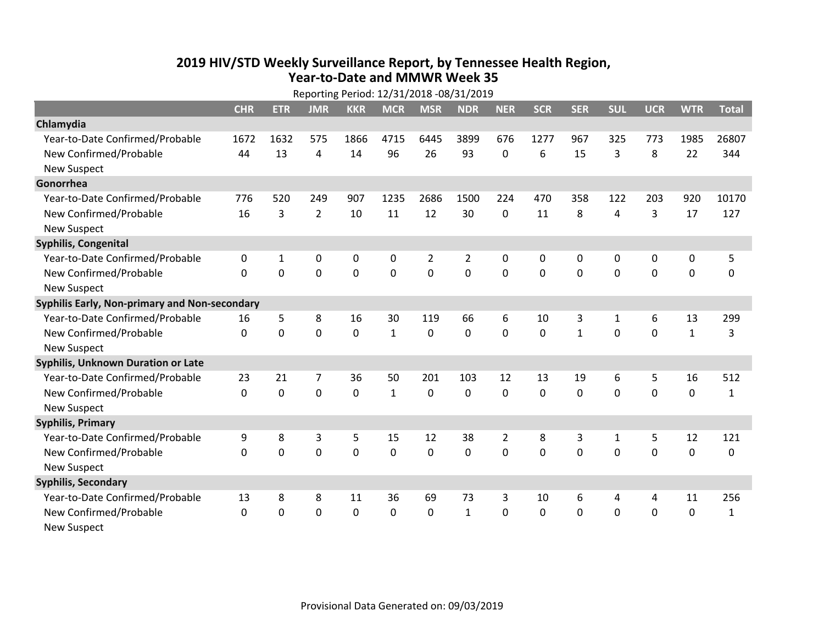## **2019 HIV /STD Weekly Surveillance Report, by Tennessee Health Region, Year‐to‐Date and MMWR Week 35** Reporting Period: 12/31/2018 ‐08/31/2019

| Reporting Period: 12/31/2018 -08/31/2019      |            |             |                |            |              |                |                |                |             |              |                |                |              |              |
|-----------------------------------------------|------------|-------------|----------------|------------|--------------|----------------|----------------|----------------|-------------|--------------|----------------|----------------|--------------|--------------|
|                                               | <b>CHR</b> | <b>ETR</b>  | <b>JMR</b>     | <b>KKR</b> | <b>MCR</b>   | <b>MSR</b>     | <b>NDR</b>     | <b>NER</b>     | <b>SCR</b>  | <b>SER</b>   | <b>SUL</b>     | <b>UCR</b>     | <b>WTR</b>   | <b>Total</b> |
| Chlamydia                                     |            |             |                |            |              |                |                |                |             |              |                |                |              |              |
| Year-to-Date Confirmed/Probable               | 1672       | 1632        | 575            | 1866       | 4715         | 6445           | 3899           | 676            | 1277        | 967          | 325            | 773            | 1985         | 26807        |
| New Confirmed/Probable                        | 44         | 13          | 4              | 14         | 96           | 26             | 93             | 0              | 6           | 15           | 3              | 8              | 22           | 344          |
| <b>New Suspect</b>                            |            |             |                |            |              |                |                |                |             |              |                |                |              |              |
| Gonorrhea                                     |            |             |                |            |              |                |                |                |             |              |                |                |              |              |
| Year-to-Date Confirmed/Probable               | 776        | 520         | 249            | 907        | 1235         | 2686           | 1500           | 224            | 470         | 358          | 122            | 203            | 920          | 10170        |
| New Confirmed/Probable                        | 16         | 3           | $\overline{2}$ | 10         | 11           | 12             | 30             | 0              | 11          | 8            | $\overline{4}$ | 3              | 17           | 127          |
| <b>New Suspect</b>                            |            |             |                |            |              |                |                |                |             |              |                |                |              |              |
| <b>Syphilis, Congenital</b>                   |            |             |                |            |              |                |                |                |             |              |                |                |              |              |
| Year-to-Date Confirmed/Probable               | 0          | 1           | 0              | 0          | 0            | $\overline{2}$ | $\overline{2}$ | 0              | 0           | 0            | 0              | 0              | 0            | 5            |
| New Confirmed/Probable                        | $\Omega$   | $\mathbf 0$ | $\overline{0}$ | 0          | $\mathbf 0$  | $\mathbf 0$    | 0              | $\Omega$       | $\mathbf 0$ | $\mathbf 0$  | $\mathbf 0$    | $\overline{0}$ | $\mathbf 0$  | 0            |
| <b>New Suspect</b>                            |            |             |                |            |              |                |                |                |             |              |                |                |              |              |
| Syphilis Early, Non-primary and Non-secondary |            |             |                |            |              |                |                |                |             |              |                |                |              |              |
| Year-to-Date Confirmed/Probable               | 16         | 5           | 8              | 16         | 30           | 119            | 66             | 6              | 10          | 3            | 1              | 6              | 13           | 299          |
| New Confirmed/Probable                        | $\Omega$   | $\mathbf 0$ | $\mathbf 0$    | 0          | $\mathbf{1}$ | 0              | $\Omega$       | $\Omega$       | $\Omega$    | $\mathbf{1}$ | $\mathbf 0$    | $\overline{0}$ | $\mathbf{1}$ | 3            |
| <b>New Suspect</b>                            |            |             |                |            |              |                |                |                |             |              |                |                |              |              |
| Syphilis, Unknown Duration or Late            |            |             |                |            |              |                |                |                |             |              |                |                |              |              |
| Year-to-Date Confirmed/Probable               | 23         | 21          | 7              | 36         | 50           | 201            | 103            | 12             | 13          | 19           | 6              | 5              | 16           | 512          |
| New Confirmed/Probable                        | 0          | $\mathbf 0$ | $\overline{0}$ | 0          | $\mathbf{1}$ | 0              | 0              | 0              | 0           | $\mathbf 0$  | $\mathbf 0$    | 0              | $\mathbf 0$  | $\mathbf{1}$ |
| <b>New Suspect</b>                            |            |             |                |            |              |                |                |                |             |              |                |                |              |              |
| <b>Syphilis, Primary</b>                      |            |             |                |            |              |                |                |                |             |              |                |                |              |              |
| Year-to-Date Confirmed/Probable               | 9          | 8           | 3              | 5          | 15           | 12             | 38             | $\overline{2}$ | 8           | 3            | 1              | 5              | 12           | 121          |
| New Confirmed/Probable                        | 0          | $\mathbf 0$ | 0              | 0          | 0            | 0              | 0              | 0              | 0           | 0            | 0              | 0              | $\mathbf 0$  | 0            |
| <b>New Suspect</b>                            |            |             |                |            |              |                |                |                |             |              |                |                |              |              |
| <b>Syphilis, Secondary</b>                    |            |             |                |            |              |                |                |                |             |              |                |                |              |              |
| Year-to-Date Confirmed/Probable               | 13         | 8           | 8              | 11         | 36           | 69             | 73             | 3              | 10          | 6            | 4              | 4              | 11           | 256          |
| New Confirmed/Probable                        | $\Omega$   | $\Omega$    | 0              | $\Omega$   | $\mathbf{0}$ | $\Omega$       | $\mathbf{1}$   | $\Omega$       | $\Omega$    | 0            | 0              | 0              | 0            | $\mathbf{1}$ |
| <b>New Suspect</b>                            |            |             |                |            |              |                |                |                |             |              |                |                |              |              |